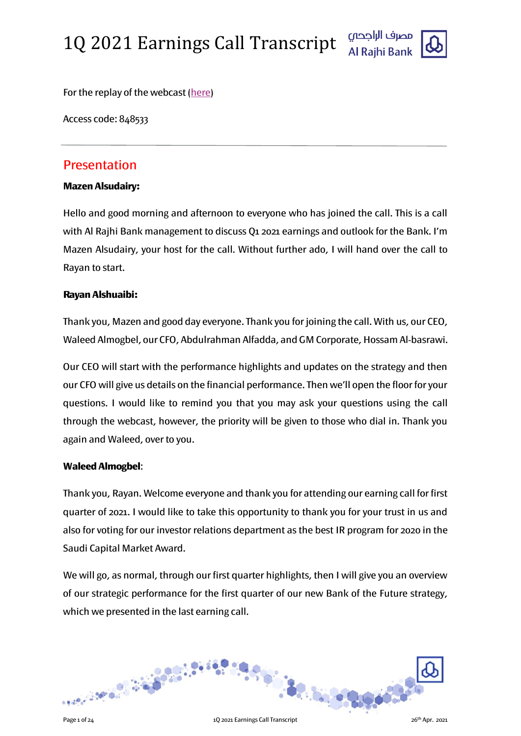

For the replay of the webcast [\(here\)](https://www.incommglobalevents.com/replay/5876/alrajhi-bank-q1-earnings-call/)

Access code: 848533

### Presentation

#### Mazen Alsudairy:

Hello and good morning and afternoon to everyone who has joined the call. This is a call with Al Rajhi Bank management to discuss Q1 2021 earnings and outlook for the Bank. I'm Mazen Alsudairy, your host for the call. Without further ado, I will hand over the call to Rayan to start.

### Rayan Alshuaibi:

Thank you, Mazen and good day everyone. Thank you for joining the call. With us, our CEO, Waleed Almogbel, our CFO, Abdulrahman Alfadda, and GM Corporate, Hossam Al-basrawi.

Our CEO will start with the performance highlights and updates on the strategy and then our CFO will give us details on the financial performance. Then we'll open the floor for your questions. I would like to remind you that you may ask your questions using the call through the webcast, however, the priority will be given to those who dial in. Thank you again and Waleed, over to you.

### Waleed Almogbel:

Thank you, Rayan. Welcome everyone and thank you for attending our earning call for first quarter of 2021. I would like to take this opportunity to thank you for your trust in us and also for voting for our investor relations department as the best IR program for 2020 in the Saudi Capital Market Award.

We will go, as normal, through our first quarter highlights, then I will give you an overview of our strategic performance for the first quarter of our new Bank of the Future strategy, which we presented in the last earning call.

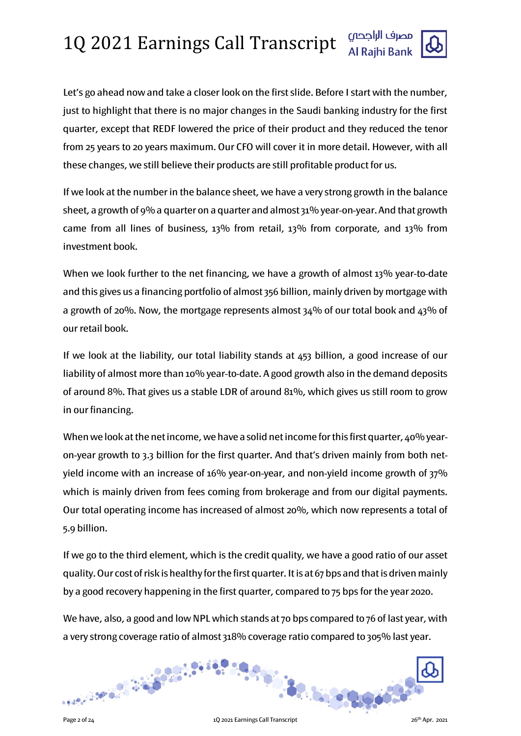Let's go ahead now and take a closer look on the first slide. Before I start with the number, just to highlight that there is no major changes in the Saudi banking industry for the first quarter, except that REDF lowered the price of their product and they reduced the tenor from 25 years to 20 years maximum. Our CFO will cover it in more detail. However, with all these changes, we still believe their products are still profitable product for us.

If we look at the number in the balance sheet, we have a very strong growth in the balance sheet, a growth of 9% a quarter on a quarter and almost 31% year-on-year. And that growth came from all lines of business, 13% from retail, 13% from corporate, and 13% from investment book.

When we look further to the net financing, we have a growth of almost 13% year-to-date and this gives us a financing portfolio of almost 356 billion, mainly driven by mortgage with a growth of 20%. Now, the mortgage represents almost 34% of our total book and 43% of our retail book.

If we look at the liability, our total liability stands at 453 billion, a good increase of our liability of almost more than 10% year-to-date. A good growth also in the demand deposits of around 8%. That gives us a stable LDR of around 81%, which gives us still room to grow in our financing.

When we look at the net income, we have a solid net income for this first quarter, 40% yearon-year growth to 3.3 billion for the first quarter. And that's driven mainly from both netyield income with an increase of 16% year-on-year, and non-yield income growth of 37% which is mainly driven from fees coming from brokerage and from our digital payments. Our total operating income has increased of almost 20%, which now represents a total of 5.9 billion.

If we go to the third element, which is the credit quality, we have a good ratio of our asset quality. Our cost of risk is healthy for the first quarter. It is at 67 bps and that is driven mainly by a good recovery happening in the first quarter, compared to 75 bps for the year 2020.

We have, also, a good and low NPL which stands at 70 bps compared to 76 of last year, with a very strong coverage ratio of almost 318% coverage ratio compared to 305% last year.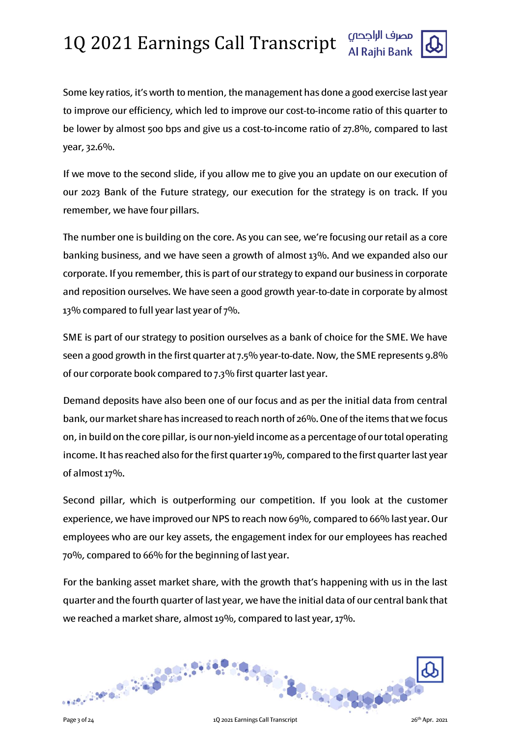

Some key ratios, it's worth to mention, the management has done a good exercise last year to improve our efficiency, which led to improve our cost-to-income ratio of this quarter to be lower by almost 500 bps and give us a cost-to-income ratio of 27.8%, compared to last year, 32.6%.

If we move to the second slide, if you allow me to give you an update on our execution of our 2023 Bank of the Future strategy, our execution for the strategy is on track. If you remember, we have four pillars.

The number one is building on the core. As you can see, we're focusing our retail as a core banking business, and we have seen a growth of almost 13%. And we expanded also our corporate. If you remember, this is part of our strategy to expand our business in corporate and reposition ourselves. We have seen a good growth year-to-date in corporate by almost 13% compared to full year last year of  $7\%$ .

SME is part of our strategy to position ourselves as a bank of choice for the SME. We have seen a good growth in the first quarter at 7.5% year-to-date. Now, the SME represents 9.8% of our corporate book compared to 7.3% first quarter last year.

Demand deposits have also been one of our focus and as per the initial data from central bank, our market share has increased to reach north of 26%. One of the items that we focus on, in build on the core pillar, is our non-yield income as a percentage of our total operating income. It has reached also for the first quarter 19%, compared to the first quarter last year of almost 17%.

Second pillar, which is outperforming our competition. If you look at the customer experience, we have improved our NPS to reach now 69%, compared to 66% last year. Our employees who are our key assets, the engagement index for our employees has reached 70%, compared to 66% for the beginning of last year.

For the banking asset market share, with the growth that's happening with us in the last quarter and the fourth quarter of last year, we have the initial data of our central bank that we reached a market share, almost 19%, compared to last year, 17%.

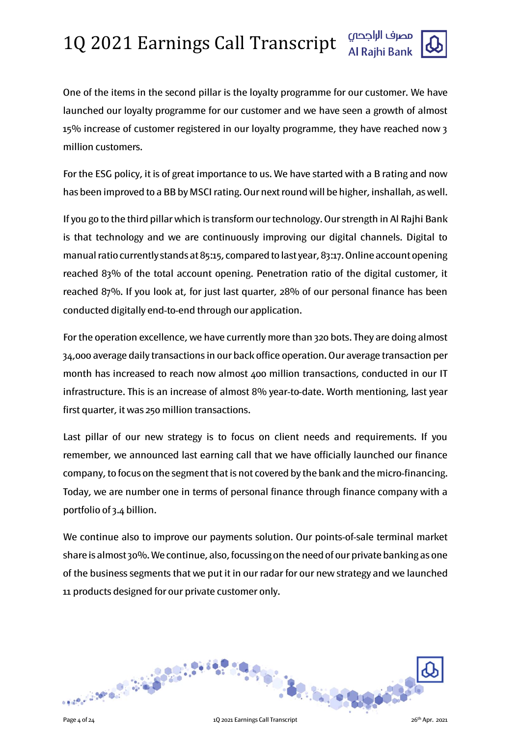

One of the items in the second pillar is the loyalty programme for our customer. We have launched our loyalty programme for our customer and we have seen a growth of almost 15% increase of customer registered in our loyalty programme, they have reached now 3 million customers.

For the ESG policy, it is of great importance to us. We have started with a B rating and now has been improved to a BB by MSCI rating. Our next round will be higher, inshallah, as well.

If you go to the third pillar which is transform ourtechnology. Our strength in Al Rajhi Bank is that technology and we are continuously improving our digital channels. Digital to manual ratio currently stands at 85:15, compared to last year, 83:17. Online account opening reached 83% of the total account opening. Penetration ratio of the digital customer, it reached 87%. If you look at, for just last quarter, 28% of our personal finance has been conducted digitally end-to-end through our application.

For the operation excellence, we have currently more than 320 bots. They are doing almost 34,000 average daily transactions in our back office operation. Our average transaction per month has increased to reach now almost 400 million transactions, conducted in our IT infrastructure. This is an increase of almost 8% year-to-date. Worth mentioning, last year first quarter, it was 250 million transactions.

Last pillar of our new strategy is to focus on client needs and requirements. If you remember, we announced last earning call that we have officially launched our finance company, to focus on the segment that is not covered by the bank and the micro-financing. Today, we are number one in terms of personal finance through finance company with a portfolio of 3.4 billion.

We continue also to improve our payments solution. Our points-of-sale terminal market share is almost 30%. We continue, also, focussing on the need of our private banking as one of the business segments that we put it in our radar for our new strategy and we launched 11 products designed for our private customer only.

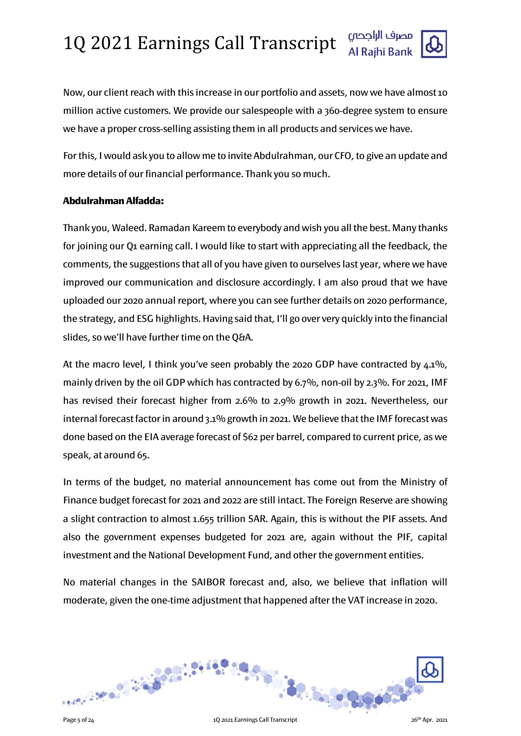

Now, our client reach with this increase in our portfolio and assets, now we have almost 10 million active customers. We provide our salespeople with a 360-degree system to ensure we have a proper cross-selling assisting them in all products and services we have.

For this, I would ask you to allow me to invite Abdulrahman, our CFO, to give an update and more details of our financial performance. Thank you so much.

#### Abdulrahman Alfadda:

Thank you, Waleed. Ramadan Kareem to everybody and wish you all the best. Many thanks for joining our Q1 earning call. I would like to start with appreciating all the feedback, the comments, the suggestions that all of you have given to ourselves last year, where we have improved our communication and disclosure accordingly. I am also proud that we have uploaded our 2020 annual report, where you can see further details on 2020 performance, the strategy, and ESG highlights. Having said that, I'll go over very quickly into the financial slides, so we'll have further time on the Q&A.

At the macro level, I think you've seen probably the 2020 GDP have contracted by 4.1%, mainly driven by the oil GDP which has contracted by 6.7%, non-oil by 2.3%. For 2021, IMF has revised their forecast higher from 2.6% to 2.9% growth in 2021. Nevertheless, our internal forecast factor in around 3.1% growth in 2021. We believe that the IMF forecast was done based on the EIA average forecast of \$62 per barrel, compared to current price, as we speak, at around 65.

In terms of the budget, no material announcement has come out from the Ministry of Finance budget forecast for 2021 and 2022 are still intact. The Foreign Reserve are showing a slight contraction to almost 1.655 trillion SAR. Again, this is without the PIF assets. And also the government expenses budgeted for 2021 are, again without the PIF, capital investment and the National Development Fund, and other the government entities.

No material changes in the SAIBOR forecast and, also, we believe that inflation will moderate, given the one-time adjustment that happened after the VAT increase in 2020.

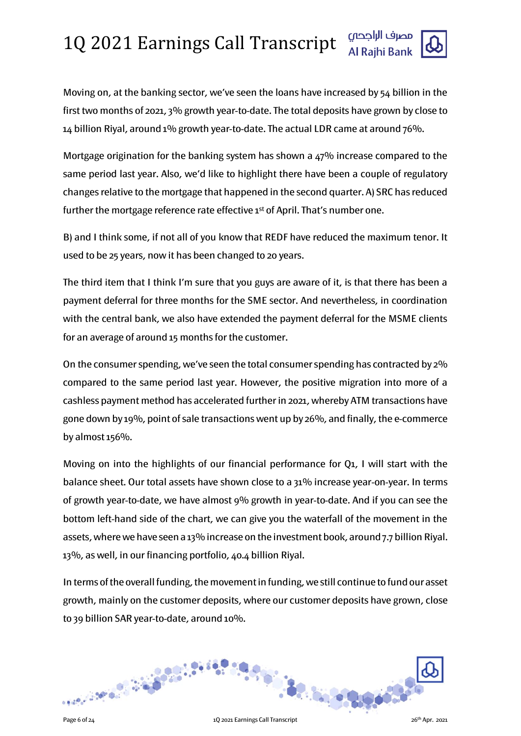Moving on, at the banking sector, we've seen the loans have increased by 54 billion in the first two months of 2021, 3% growth year-to-date. The total deposits have grown by close to 14 billion Riyal, around 1% growth year-to-date. The actual LDR came at around 76%.

Mortgage origination for the banking system has shown a 47% increase compared to the same period last year. Also, we'd like to highlight there have been a couple of regulatory changes relative to the mortgage that happened in the second quarter. A) SRC has reduced further the mortgage reference rate effective 1st of April. That's number one.

B) and I think some, if not all of you know that REDF have reduced the maximum tenor. It used to be 25 years, now it has been changed to 20 years.

The third item that I think I'm sure that you guys are aware of it, is that there has been a payment deferral for three months for the SME sector. And nevertheless, in coordination with the central bank, we also have extended the payment deferral for the MSME clients for an average of around 15 months for the customer.

On the consumer spending, we've seen the total consumer spending has contracted by 2% compared to the same period last year. However, the positive migration into more of a cashless payment method has accelerated further in 2021, whereby ATM transactions have gone down by 19%, point of sale transactions went up by 26%, and finally, the e-commerce by almost 156%.

Moving on into the highlights of our financial performance for Q1, I will start with the balance sheet. Our total assets have shown close to a 31% increase year-on-year. In terms of growth year-to-date, we have almost 9% growth in year-to-date. And if you can see the bottom left-hand side of the chart, we can give you the waterfall of the movement in the assets, where we have seen a 13% increase on the investment book, around 7.7 billion Riyal. 13%, as well, in our financing portfolio, 40.4 billion Riyal.

In terms of the overall funding, the movement in funding, we still continue to fund our asset growth, mainly on the customer deposits, where our customer deposits have grown, close to 39 billion SAR year-to-date, around 10%.

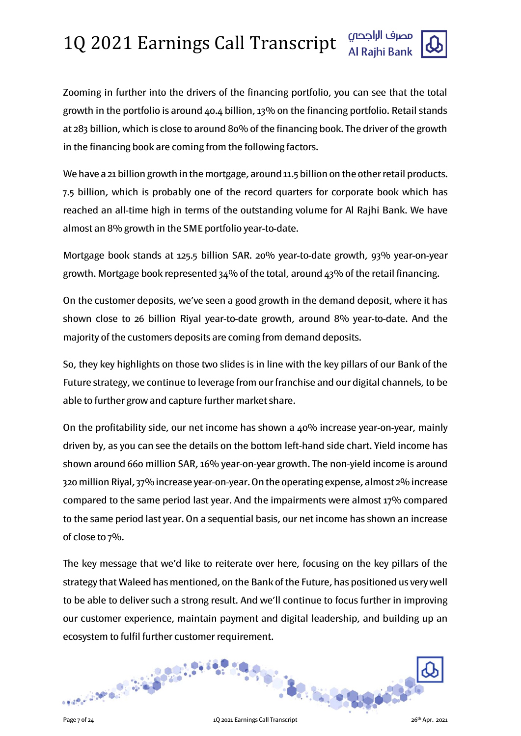

Zooming in further into the drivers of the financing portfolio, you can see that the total growth in the portfolio is around 40.4 billion, 13% on the financing portfolio. Retail stands at 283 billion, which is close to around 80% of the financing book. The driver of the growth in the financing book are coming from the following factors.

We have a 21 billion growth in the mortgage, around 11.5 billion on the other retail products. 7.5 billion, which is probably one of the record quarters for corporate book which has reached an all-time high in terms of the outstanding volume for Al Rajhi Bank. We have almost an 8% growth in the SME portfolio year-to-date.

Mortgage book stands at 125.5 billion SAR. 20% year-to-date growth, 93% year-on-year growth. Mortgage book represented  $34\%$  of the total, around  $43\%$  of the retail financing.

On the customer deposits, we've seen a good growth in the demand deposit, where it has shown close to 26 billion Riyal year-to-date growth, around 8% year-to-date. And the majority of the customers deposits are coming from demand deposits.

So, they key highlights on those two slides is in line with the key pillars of our Bank of the Future strategy, we continue to leverage from our franchise and our digital channels, to be able to further grow and capture further market share.

On the profitability side, our net income has shown a 40% increase year-on-year, mainly driven by, as you can see the details on the bottom left-hand side chart. Yield income has shown around 660 million SAR, 16% year-on-year growth. The non-yield income is around 320 million Riyal, 37% increase year-on-year. On the operating expense, almost 2% increase compared to the same period last year. And the impairments were almost 17% compared to the same period last year. On a sequential basis, our net income has shown an increase of close to 7%.

The key message that we'd like to reiterate over here, focusing on the key pillars of the strategy that Waleed has mentioned, on the Bank of the Future, has positioned us very well to be able to deliver such a strong result. And we'll continue to focus further in improving our customer experience, maintain payment and digital leadership, and building up an ecosystem to fulfil further customer requirement.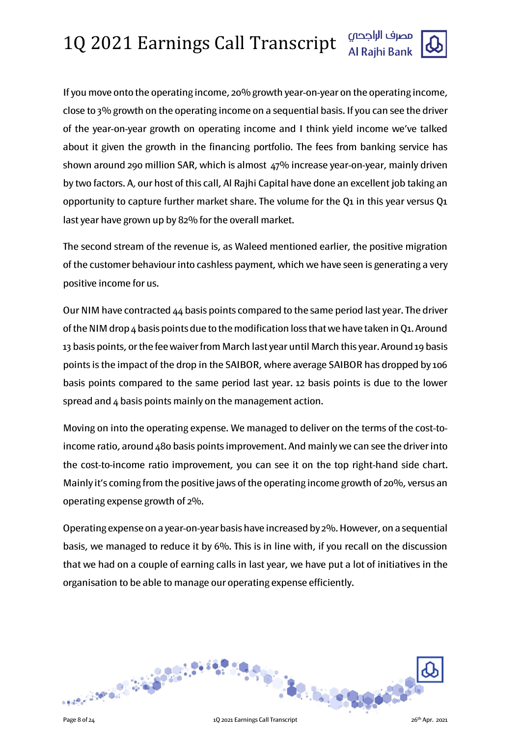If you move onto the operating income, 20% growth year-on-year on the operating income, close to 3% growth on the operating income on a sequential basis. If you can see the driver of the year-on-year growth on operating income and I think yield income we've talked about it given the growth in the financing portfolio. The fees from banking service has shown around 290 million SAR, which is almost 47% increase year-on-year, mainly driven by two factors. A, our host of this call, Al Rajhi Capital have done an excellent job taking an opportunity to capture further market share. The volume for the Q1 in this year versus  $Q_1$ last year have grown up by 82% for the overall market.

The second stream of the revenue is, as Waleed mentioned earlier, the positive migration of the customer behaviour into cashless payment, which we have seen is generating a very positive income for us.

Our NIM have contracted 44 basis points compared to the same period last year. The driver of the NIM drop  $4$  basis points due to the modification loss that we have taken in Q1. Around 13 basis points, or the fee waiver from March last year until March this year. Around 19 basis points is the impact of the drop in the SAIBOR, where average SAIBOR has dropped by 106 basis points compared to the same period last year. 12 basis points is due to the lower spread and 4 basis points mainly on the management action.

Moving on into the operating expense. We managed to deliver on the terms of the cost-toincome ratio, around 480 basis points improvement. And mainly we can see the driver into the cost-to-income ratio improvement, you can see it on the top right-hand side chart. Mainly it's coming from the positive jaws of the operating income growth of 20%, versus an operating expense growth of 2%.

Operating expense on a year-on-year basis have increased by 2%. However, on a sequential basis, we managed to reduce it by 6%. This is in line with, if you recall on the discussion that we had on a couple of earning calls in last year, we have put a lot of initiatives in the organisation to be able to manage our operating expense efficiently.

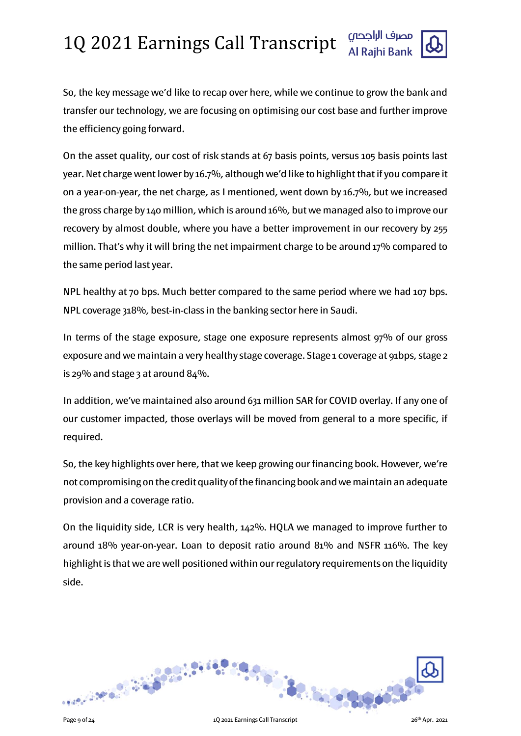

So, the key message we'd like to recap over here, while we continue to grow the bank and transfer our technology, we are focusing on optimising our cost base and further improve the efficiency going forward.

On the asset quality, our cost of risk stands at 67 basis points, versus 105 basis points last year. Net charge went lower by 16.7%, although we'd like to highlight that if you compare it on a year-on-year, the net charge, as I mentioned, went down by 16.7%, but we increased the gross charge by 140 million, which is around 16%, but we managed also to improve our recovery by almost double, where you have a better improvement in our recovery by 255 million. That's why it will bring the net impairment charge to be around 17% compared to the same period last year.

NPL healthy at 70 bps. Much better compared to the same period where we had 107 bps. NPL coverage 318%, best-in-class in the banking sector here in Saudi.

In terms of the stage exposure, stage one exposure represents almost 97% of our gross exposure and we maintain a very healthy stage coverage. Stage 1 coverage at 91bps, stage 2 is 29% and stage 3 at around 84%.

In addition, we've maintained also around 631 million SAR for COVID overlay. If any one of our customer impacted, those overlays will be moved from general to a more specific, if required.

So, the key highlights over here, that we keep growing our financing book. However, we're not compromising on the credit quality of the financing book and we maintain an adequate provision and a coverage ratio.

On the liquidity side, LCR is very health, 142%. HQLA we managed to improve further to around 18% year-on-year. Loan to deposit ratio around 81% and NSFR 116%. The key highlight is that we are well positioned within our regulatory requirements on the liquidity side.

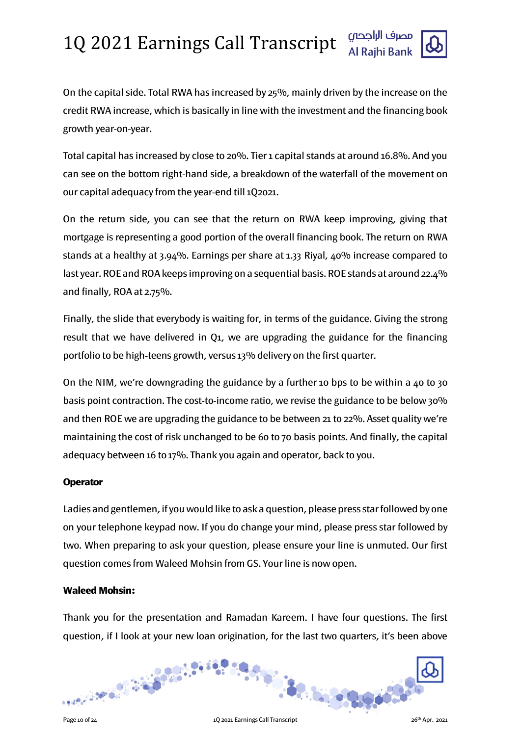

On the capital side. Total RWA has increased by 25%, mainly driven by the increase on the credit RWA increase, which is basically in line with the investment and the financing book growth year-on-year.

Total capital has increased by close to 20%. Tier 1 capital stands at around 16.8%. And you can see on the bottom right-hand side, a breakdown of the waterfall of the movement on our capital adequacy from the year-end till 1Q2021.

On the return side, you can see that the return on RWA keep improving, giving that mortgage is representing a good portion of the overall financing book. The return on RWA stands at a healthy at 3.94%. Earnings per share at 1.33 Riyal, 40% increase compared to last year. ROE and ROA keeps improving on a sequential basis. ROE stands at around 22.4% and finally, ROA at 2.75%.

Finally, the slide that everybody is waiting for, in terms of the guidance. Giving the strong result that we have delivered in Q1, we are upgrading the guidance for the financing portfolio to be high-teens growth, versus 13% delivery on the first quarter.

On the NIM, we're downgrading the guidance by a further 10 bps to be within a 40 to 30 basis point contraction. The cost-to-income ratio, we revise the guidance to be below 30% and then ROE we are upgrading the guidance to be between 21 to 22%. Asset quality we're maintaining the cost of risk unchanged to be 60 to 70 basis points. And finally, the capital adequacy between 16 to 17%. Thank you again and operator, back to you.

#### **Operator**

Ladies and gentlemen, if you would like to ask a question, please press star followed by one on your telephone keypad now. If you do change your mind, please press star followed by two. When preparing to ask your question, please ensure your line is unmuted. Our first question comes from Waleed Mohsin from GS. Your line is now open.

#### Waleed Mohsin:

Thank you for the presentation and Ramadan Kareem. I have four questions. The first question, if I look at your new loan origination, for the last two quarters, it's been above

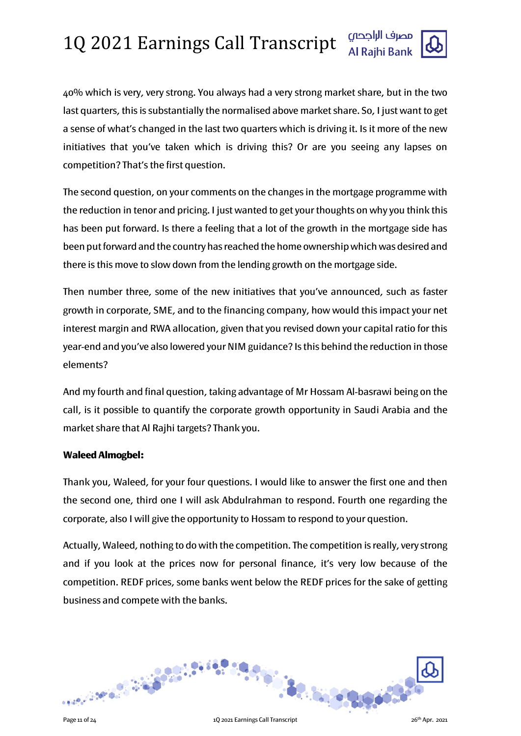

40% which is very, very strong. You always had a very strong market share, but in the two last quarters, this is substantially the normalised above market share. So, I just want to get a sense of what's changed in the last two quarters which is driving it. Is it more of the new initiatives that you've taken which is driving this? Or are you seeing any lapses on competition? That's the first question.

The second question, on your comments on the changes in the mortgage programme with the reduction in tenor and pricing. I just wanted to get your thoughts on why you think this has been put forward. Is there a feeling that a lot of the growth in the mortgage side has been put forward and the country has reached the home ownership which was desired and there is this move to slow down from the lending growth on the mortgage side.

Then number three, some of the new initiatives that you've announced, such as faster growth in corporate, SME, and to the financing company, how would this impact your net interest margin and RWA allocation, given that you revised down your capital ratio for this year-end and you've also lowered your NIM guidance? Is this behind the reduction in those elements?

And my fourth and final question, taking advantage of Mr Hossam Al-basrawi being on the call, is it possible to quantify the corporate growth opportunity in Saudi Arabia and the market share that Al Rajhi targets? Thank you.

#### Waleed Almogbel:

Thank you, Waleed, for your four questions. I would like to answer the first one and then the second one, third one I will ask Abdulrahman to respond. Fourth one regarding the corporate, also I will give the opportunity to Hossam to respond to your question.

Actually, Waleed, nothing to do with the competition. The competition is really, very strong and if you look at the prices now for personal finance, it's very low because of the competition. REDF prices, some banks went below the REDF prices for the sake of getting business and compete with the banks.

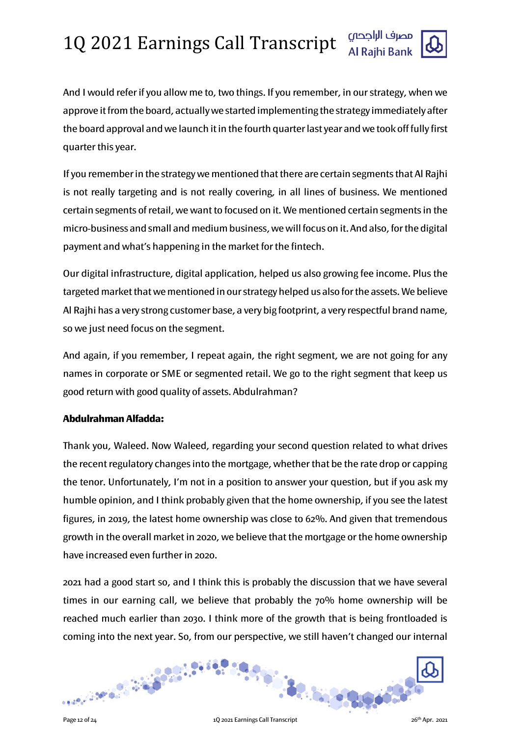

And I would refer if you allow me to, two things. If you remember, in our strategy, when we approve it from the board, actually we started implementing the strategy immediately after the board approval and we launch it in the fourth quarter last year and we took off fully first quarter this year.

If you remember in the strategy we mentioned that there are certain segments that Al Rajhi is not really targeting and is not really covering, in all lines of business. We mentioned certain segments of retail, we want to focused on it. We mentioned certain segments in the micro-business and small and medium business, we will focus on it. And also, for the digital payment and what's happening in the market for the fintech.

Our digital infrastructure, digital application, helped us also growing fee income. Plus the targeted market that we mentioned in our strategy helped us also for the assets. We believe Al Rajhi has a very strong customer base, a very big footprint, a very respectful brand name, so we just need focus on the segment.

And again, if you remember, I repeat again, the right segment, we are not going for any names in corporate or SME or segmented retail. We go to the right segment that keep us good return with good quality of assets. Abdulrahman?

### Abdulrahman Alfadda:

Thank you, Waleed. Now Waleed, regarding your second question related to what drives the recent regulatory changes into the mortgage, whether that be the rate drop or capping the tenor. Unfortunately, I'm not in a position to answer your question, but if you ask my humble opinion, and I think probably given that the home ownership, if you see the latest figures, in 2019, the latest home ownership was close to 62%. And given that tremendous growth in the overall market in 2020, we believe that the mortgage or the home ownership have increased even further in 2020.

2021 had a good start so, and I think this is probably the discussion that we have several times in our earning call, we believe that probably the 70% home ownership will be reached much earlier than 2030. I think more of the growth that is being frontloaded is coming into the next year. So, from our perspective, we still haven't changed our internal

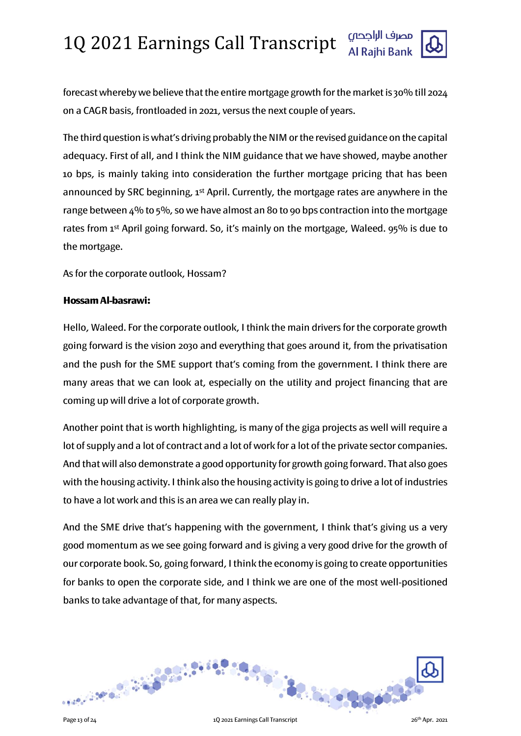

The third question is what's driving probably the NIM or the revised guidance on the capital adequacy. First of all, and I think the NIM guidance that we have showed, maybe another 10 bps, is mainly taking into consideration the further mortgage pricing that has been announced by SRC beginning, 1<sup>st</sup> April. Currently, the mortgage rates are anywhere in the range between 4% to 5%, so we have almost an 80 to 90 bps contraction into the mortgage rates from 1st April going forward. So, it's mainly on the mortgage, Waleed. 95% is due to the mortgage.

As for the corporate outlook, Hossam?

#### Hossam Al-basrawi:

Hello, Waleed. For the corporate outlook, I think the main drivers for the corporate growth going forward is the vision 2030 and everything that goes around it, from the privatisation and the push for the SME support that's coming from the government. I think there are many areas that we can look at, especially on the utility and project financing that are coming up will drive a lot of corporate growth.

Another point that is worth highlighting, is many of the giga projects as well will require a lot of supply and a lot of contract and a lot of work for a lot of the private sector companies. And that will also demonstrate a good opportunity for growth going forward. That also goes with the housing activity. I think also the housing activity is going to drive a lot of industries to have a lot work and this is an area we can really play in.

And the SME drive that's happening with the government, I think that's giving us a very good momentum as we see going forward and is giving a very good drive for the growth of our corporate book. So, going forward, I think the economy is going to create opportunities for banks to open the corporate side, and I think we are one of the most well-positioned banks to take advantage of that, for many aspects.

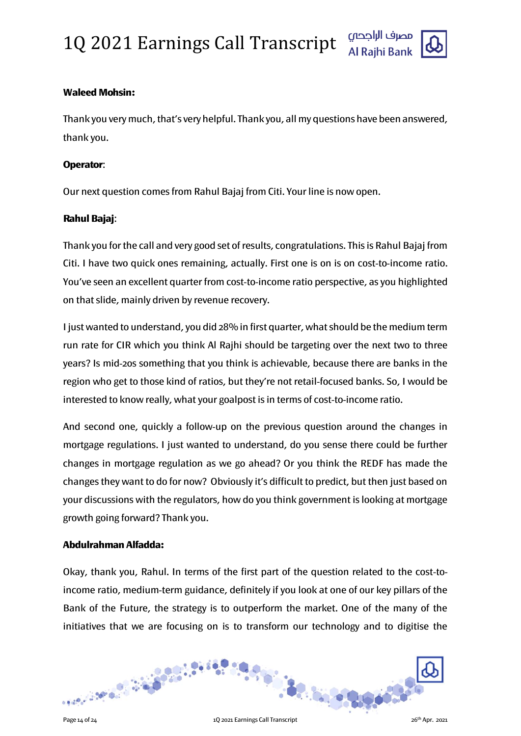

#### Waleed Mohsin:

Thank you very much, that's very helpful. Thank you, all my questions have been answered, thank you.

#### Operator:

Our next question comes from Rahul Bajaj from Citi. Your line is now open.

#### Rahul Bajaj:

Thank you for the call and very good set of results, congratulations. This is Rahul Bajaj from Citi. I have two quick ones remaining, actually. First one is on is on cost-to-income ratio. You've seen an excellent quarter from cost-to-income ratio perspective, as you highlighted on that slide, mainly driven by revenue recovery.

I just wanted to understand, you did 28% in first quarter, what should be the medium term run rate for CIR which you think Al Rajhi should be targeting over the next two to three years? Is mid-20s something that you think is achievable, because there are banks in the region who get to those kind of ratios, but they're not retail-focused banks. So, I would be interested to know really, what your goalpost is in terms of cost-to-income ratio.

And second one, quickly a follow-up on the previous question around the changes in mortgage regulations. I just wanted to understand, do you sense there could be further changes in mortgage regulation as we go ahead? Or you think the REDF has made the changes they want to do for now? Obviously it's difficult to predict, but then just based on your discussions with the regulators, how do you think government is looking at mortgage growth going forward? Thank you.

#### Abdulrahman Alfadda:

Okay, thank you, Rahul. In terms of the first part of the question related to the cost-toincome ratio, medium-term guidance, definitely if you look at one of our key pillars of the Bank of the Future, the strategy is to outperform the market. One of the many of the initiatives that we are focusing on is to transform our technology and to digitise the

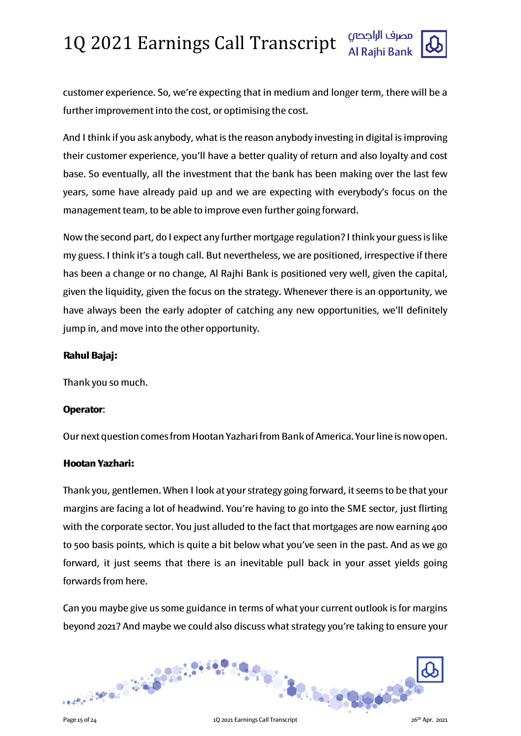

customer experience. So, we're expecting that in medium and longer term, there will be a further improvement into the cost, or optimising the cost.

And I think if you ask anybody, what is the reason anybody investing in digital is improving their customer experience, you'll have a better quality of return and also loyalty and cost base. So eventually, all the investment that the bank has been making over the last few years, some have already paid up and we are expecting with everybody's focus on the management team, to be able to improve even further going forward.

Now the second part, do I expect any further mortgage regulation? I think your guess is like my guess. I think it's a tough call. But nevertheless, we are positioned, irrespective if there has been a change or no change, Al Rajhi Bank is positioned very well, given the capital, given the liquidity, given the focus on the strategy. Whenever there is an opportunity, we have always been the early adopter of catching any new opportunities, we'll definitely jump in, and move into the other opportunity.

### Rahul Bajaj:

Thank you so much.

### Operator:

Our next question comes from Hootan Yazhari from Bank of America. Your line is now open.

### Hootan Yazhari:

Thank you, gentlemen. When I look at your strategy going forward, it seems to be that your margins are facing a lot of headwind. You're having to go into the SME sector, just flirting with the corporate sector. You just alluded to the fact that mortgages are now earning 400 to 500 basis points, which is quite a bit below what you've seen in the past. And as we go forward, it just seems that there is an inevitable pull back in your asset yields going forwards from here.

Can you maybe give us some guidance in terms of what your current outlook is for margins beyond 2021? And maybe we could also discuss what strategy you're taking to ensure your

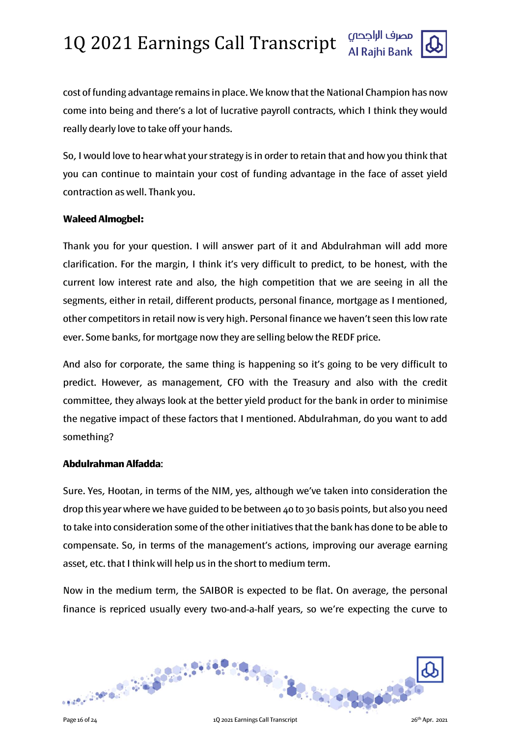

cost of funding advantage remains in place. We know that the National Champion has now come into being and there's a lot of lucrative payroll contracts, which I think they would really dearly love to take off your hands.

So, I would love to hear what your strategy is in order to retain that and how you think that you can continue to maintain your cost of funding advantage in the face of asset yield contraction as well. Thank you.

#### Waleed Almogbel:

Thank you for your question. I will answer part of it and Abdulrahman will add more clarification. For the margin, I think it's very difficult to predict, to be honest, with the current low interest rate and also, the high competition that we are seeing in all the segments, either in retail, different products, personal finance, mortgage as I mentioned, other competitors in retail now is very high. Personal finance we haven't seen this low rate ever. Some banks, for mortgage now they are selling below the REDF price.

And also for corporate, the same thing is happening so it's going to be very difficult to predict. However, as management, CFO with the Treasury and also with the credit committee, they always look at the better yield product for the bank in order to minimise the negative impact of these factors that I mentioned. Abdulrahman, do you want to add something?

### Abdulrahman Alfadda:

Sure. Yes, Hootan, in terms of the NIM, yes, although we've taken into consideration the drop this year where we have guided to be between 40 to 30 basis points, but also you need to take into consideration some of the other initiatives that the bank has done to be able to compensate. So, in terms of the management's actions, improving our average earning asset, etc. that I think will help us in the short to medium term.

Now in the medium term, the SAIBOR is expected to be flat. On average, the personal finance is repriced usually every two-and-a-half years, so we're expecting the curve to

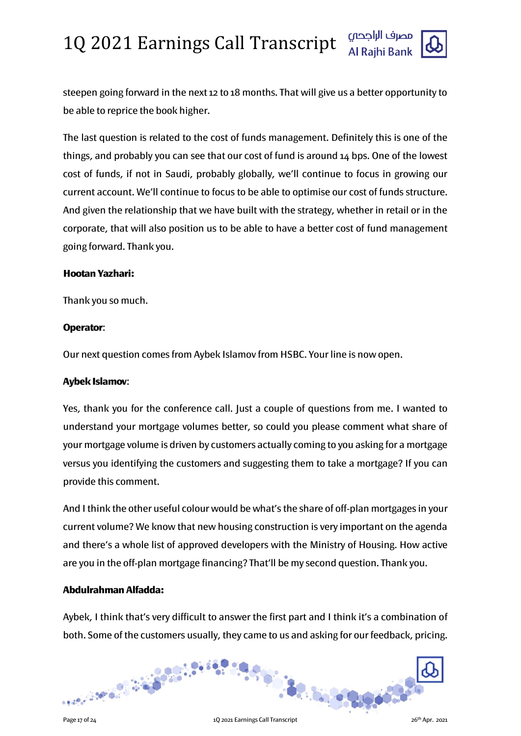

steepen going forward in the next 12 to 18 months. That will give us a better opportunity to be able to reprice the book higher.

The last question is related to the cost of funds management. Definitely this is one of the things, and probably you can see that our cost of fund is around 14 bps. One of the lowest cost of funds, if not in Saudi, probably globally, we'll continue to focus in growing our current account. We'll continue to focus to be able to optimise our cost of funds structure. And given the relationship that we have built with the strategy, whether in retail or in the corporate, that will also position us to be able to have a better cost of fund management going forward. Thank you.

#### Hootan Yazhari:

Thank you so much.

### Operator:

Our next question comes from Aybek Islamov from HSBC. Your line is now open.

### Aybek Islamov:

Yes, thank you for the conference call. Just a couple of questions from me. I wanted to understand your mortgage volumes better, so could you please comment what share of your mortgage volume is driven by customers actually coming to you asking for a mortgage versus you identifying the customers and suggesting them to take a mortgage? If you can provide this comment.

And I think the other useful colour would be what's the share of off-plan mortgages in your current volume? We know that new housing construction is very important on the agenda and there's a whole list of approved developers with the Ministry of Housing. How active are you in the off-plan mortgage financing? That'll be my second question. Thank you.

### Abdulrahman Alfadda:

Aybek, I think that's very difficult to answer the first part and I think it's a combination of both. Some of the customers usually, they came to us and asking for our feedback, pricing.

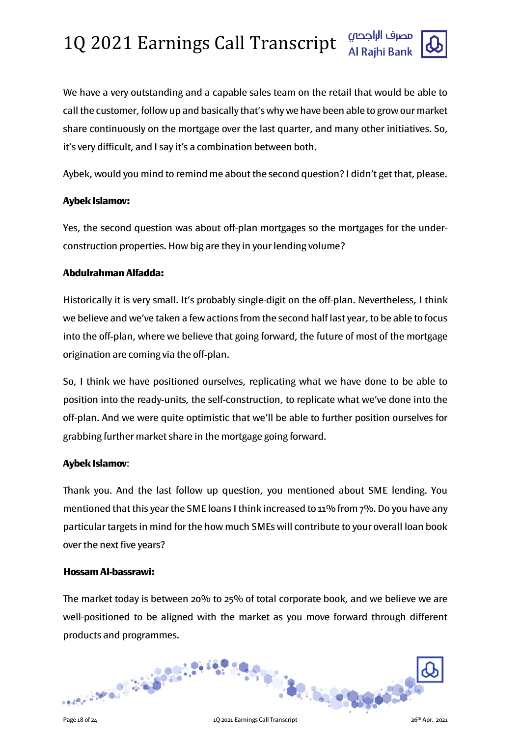

We have a very outstanding and a capable sales team on the retail that would be able to call the customer, follow up and basically that's why we have been able to grow our market share continuously on the mortgage over the last quarter, and many other initiatives. So, it's very difficult, and I say it's a combination between both.

Aybek, would you mind to remind me about the second question? I didn't get that, please.

#### Aybek Islamov:

Yes, the second question was about off-plan mortgages so the mortgages for the underconstruction properties. How big are they in your lending volume?

### Abdulrahman Alfadda:

Historically it is very small. It's probably single-digit on the off-plan. Nevertheless, I think we believe and we've taken a few actions from the second half last year, to be able to focus into the off-plan, where we believe that going forward, the future of most of the mortgage origination are coming via the off-plan.

So, I think we have positioned ourselves, replicating what we have done to be able to position into the ready-units, the self-construction, to replicate what we've done into the off-plan. And we were quite optimistic that we'll be able to further position ourselves for grabbing further market share in the mortgage going forward.

### Aybek Islamov:

Thank you. And the last follow up question, you mentioned about SME lending. You mentioned that this year the SME loans I think increased to 11% from 7%. Do you have any particular targets in mind for the how much SMEs will contribute to your overall loan book over the next five years?

#### Hossam Al-bassrawi:

The market today is between 20% to 25% of total corporate book, and we believe we are well-positioned to be aligned with the market as you move forward through different products and programmes.

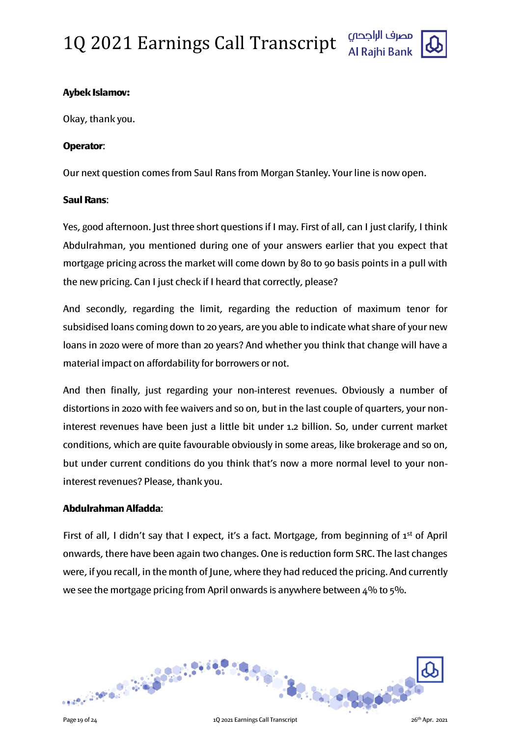

### Aybek Islamov:

Okay, thank you.

#### Operator:

Our next question comes from Saul Rans from Morgan Stanley. Your line is now open.

#### Saul Rans:

Yes, good afternoon. Just three short questions if I may. First of all, can I just clarify, I think Abdulrahman, you mentioned during one of your answers earlier that you expect that mortgage pricing across the market will come down by 80 to 90 basis points in a pull with the new pricing. Can I just check if I heard that correctly, please?

And secondly, regarding the limit, regarding the reduction of maximum tenor for subsidised loans coming down to 20 years, are you able to indicate what share of your new loans in 2020 were of more than 20 years? And whether you think that change will have a material impact on affordability for borrowers or not.

And then finally, just regarding your non-interest revenues. Obviously a number of distortions in 2020 with fee waivers and so on, but in the last couple of quarters, your noninterest revenues have been just a little bit under 1.2 billion. So, under current market conditions, which are quite favourable obviously in some areas, like brokerage and so on, but under current conditions do you think that's now a more normal level to your noninterest revenues? Please, thank you.

### Abdulrahman Alfadda:

First of all, I didn't say that I expect, it's a fact. Mortgage, from beginning of 1<sup>st</sup> of April onwards, there have been again two changes. One is reduction form SRC. The last changes were, if you recall, in the month of June, where they had reduced the pricing. And currently we see the mortgage pricing from April onwards is anywhere between 4% to 5%.

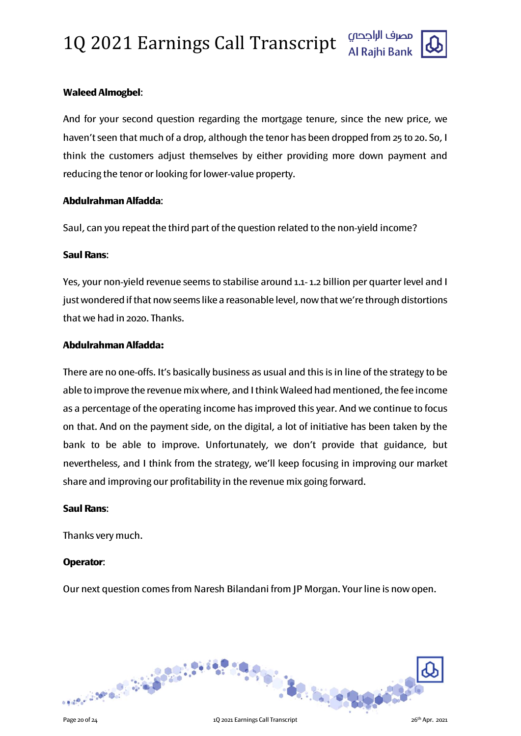

### Waleed Almogbel:

And for your second question regarding the mortgage tenure, since the new price, we haven't seen that much of a drop, although the tenor has been dropped from 25 to 20. So, I think the customers adjust themselves by either providing more down payment and reducing the tenor or looking for lower-value property.

#### Abdulrahman Alfadda:

Saul, can you repeat the third part of the question related to the non-yield income?

#### Saul Rans:

Yes, your non-yield revenue seems to stabilise around 1.1- 1.2 billion per quarter level and I just wondered if that now seems like a reasonable level, now that we're through distortions that we had in 2020. Thanks.

### Abdulrahman Alfadda:

There are no one-offs. It's basically business as usual and this is in line of the strategy to be able to improve the revenue mix where, and I think Waleed had mentioned, the fee income as a percentage of the operating income has improved this year. And we continue to focus on that. And on the payment side, on the digital, a lot of initiative has been taken by the bank to be able to improve. Unfortunately, we don't provide that guidance, but nevertheless, and I think from the strategy, we'll keep focusing in improving our market share and improving our profitability in the revenue mix going forward.

#### Saul Rans:

Thanks very much.

### Operator:

Our next question comes from Naresh Bilandani from JP Morgan. Your line is now open.

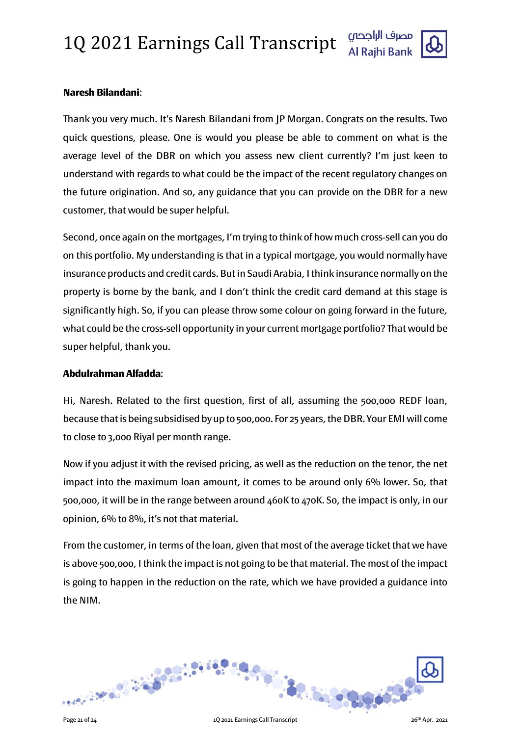

#### Naresh Bilandani:

Thank you very much. It's Naresh Bilandani from JP Morgan. Congrats on the results. Two quick questions, please. One is would you please be able to comment on what is the average level of the DBR on which you assess new client currently? I'm just keen to understand with regards to what could be the impact of the recent regulatory changes on the future origination. And so, any guidance that you can provide on the DBR for a new customer, that would be super helpful.

Second, once again on the mortgages, I'm trying to think of how much cross-sell can you do on this portfolio. My understanding is that in a typical mortgage, you would normally have insurance products and credit cards. But in Saudi Arabia, I think insurance normally on the property is borne by the bank, and I don't think the credit card demand at this stage is significantly high. So, if you can please throw some colour on going forward in the future, what could be the cross-sell opportunity in your current mortgage portfolio? That would be super helpful, thank you.

#### Abdulrahman Alfadda:

Hi, Naresh. Related to the first question, first of all, assuming the 500,000 REDF loan, because that is being subsidised by up to 500,000. For 25 years, the DBR. Your EMI will come to close to 3,000 Riyal per month range.

Now if you adjust it with the revised pricing, as well as the reduction on the tenor, the net impact into the maximum loan amount, it comes to be around only 6% lower. So, that 500,000, it will be in the range between around 460K to 470K. So, the impact is only, in our opinion, 6% to 8%, it's not that material.

From the customer, in terms of the loan, given that most of the average ticket that we have is above 500,000, I think the impact is not going to be that material. The most of the impact is going to happen in the reduction on the rate, which we have provided a guidance into the NIM.

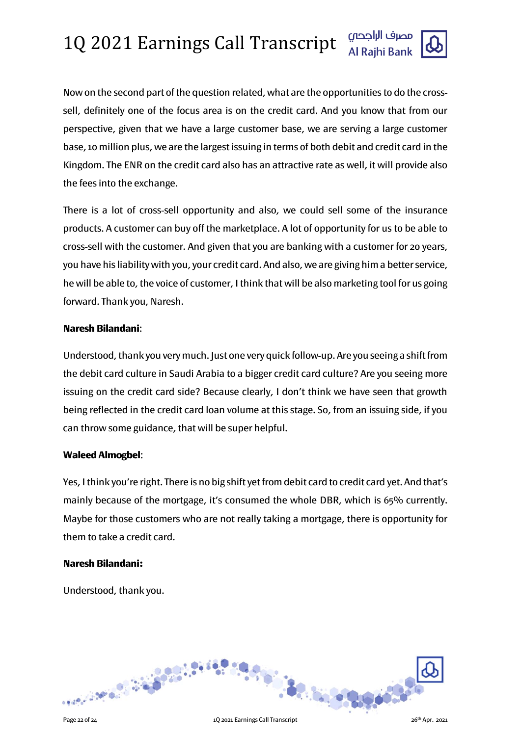Now on the second part of the question related, what are the opportunities to do the crosssell, definitely one of the focus area is on the credit card. And you know that from our perspective, given that we have a large customer base, we are serving a large customer base, 10 million plus, we are the largest issuing in terms of both debit and credit card in the Kingdom. The ENR on the credit card also has an attractive rate as well, it will provide also the fees into the exchange.

There is a lot of cross-sell opportunity and also, we could sell some of the insurance products. A customer can buy off the marketplace. A lot of opportunity for us to be able to cross-sell with the customer. And given that you are banking with a customer for 20 years, you have his liability with you, your credit card. And also, we are giving him a better service, he will be able to, the voice of customer, I think that will be also marketing tool for us going forward. Thank you, Naresh.

#### Naresh Bilandani:

Understood, thank you very much. Just one very quick follow-up. Are you seeing a shift from the debit card culture in Saudi Arabia to a bigger credit card culture? Are you seeing more issuing on the credit card side? Because clearly, I don't think we have seen that growth being reflected in the credit card loan volume at this stage. So, from an issuing side, if you can throw some guidance, that will be super helpful.

#### Waleed Almogbel:

Yes, I think you're right. There is no big shift yet from debit card to credit card yet. And that's mainly because of the mortgage, it's consumed the whole DBR, which is 65% currently. Maybe for those customers who are not really taking a mortgage, there is opportunity for them to take a credit card.

#### Naresh Bilandani:

Understood, thank you.

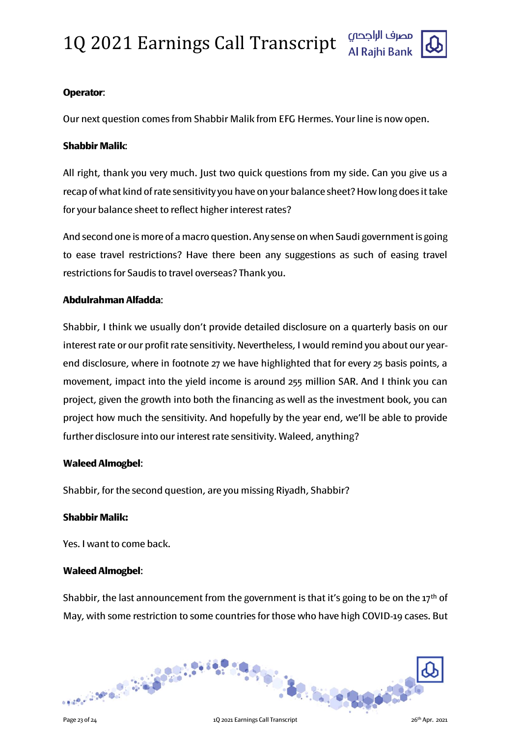# 1Q 2021 Earnings Call Transcript



#### Operator:

Our next question comes from Shabbir Malik from EFG Hermes. Your line is now open.

#### Shabbir Malik:

All right, thank you very much. Just two quick questions from my side. Can you give us a recap of what kind of rate sensitivity you have on your balance sheet? How long does it take for your balance sheet to reflect higher interest rates?

And second one is more of a macro question. Any sense on when Saudi government is going to ease travel restrictions? Have there been any suggestions as such of easing travel restrictions for Saudis to travel overseas? Thank you.

#### Abdulrahman Alfadda:

Shabbir, I think we usually don't provide detailed disclosure on a quarterly basis on our interest rate or our profit rate sensitivity. Nevertheless, I would remind you about our yearend disclosure, where in footnote 27 we have highlighted that for every 25 basis points, a movement, impact into the yield income is around 255 million SAR. And I think you can project, given the growth into both the financing as well as the investment book, you can project how much the sensitivity. And hopefully by the year end, we'll be able to provide further disclosure into our interest rate sensitivity. Waleed, anything?

#### Waleed Almogbel:

Shabbir, for the second question, are you missing Riyadh, Shabbir?

#### Shabbir Malik:

Yes. I want to come back.

#### Waleed Almogbel:

Shabbir, the last announcement from the government is that it's going to be on the 17<sup>th</sup> of May, with some restriction to some countries for those who have high COVID-19 cases. But